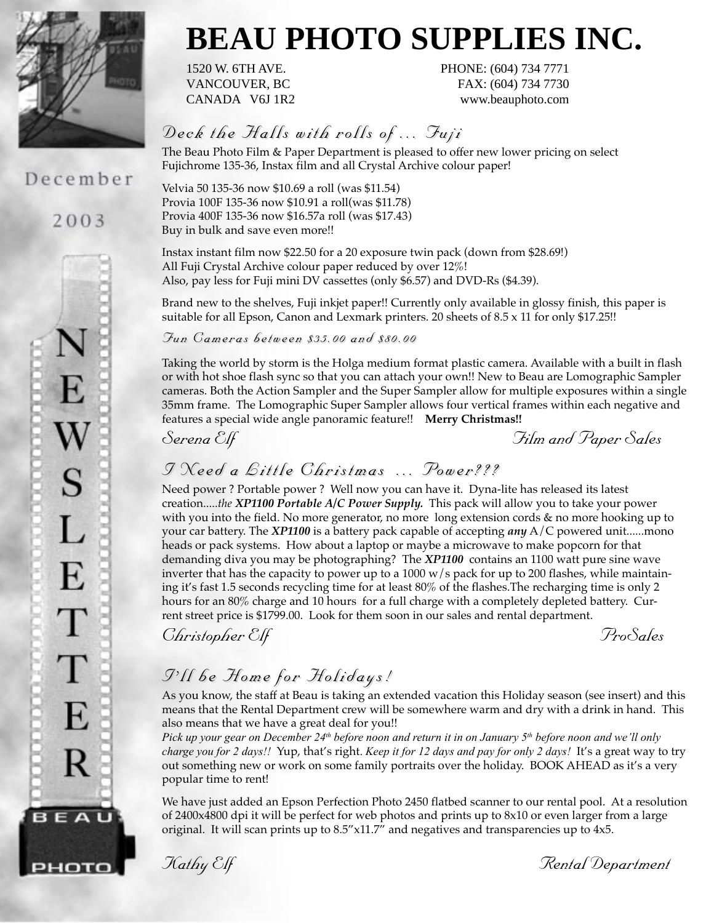

### December

2003



# **BEAU PHOTO SUPPLIES INC.**

1520 W. 6TH AVE. PHONE: (604) 734 7771 VANCOUVER, BC FAX: (604) 734 7730 CANADA V6J 1R2 www.beauphoto.com

### *Deck the Halls with rolls of ... Fuji Deck the Halls with rolls of ... Fuji*

The Beau Photo Film & Paper Department is pleased to offer new lower pricing on select Fujichrome 135-36, Instax film and all Crystal Archive colour paper!

Velvia 50 135-36 now \$10.69 a roll (was \$11.54) Provia 100F 135-36 now \$10.91 a roll(was \$11.78) Provia 400F 135-36 now \$16.57a roll (was \$17.43) Buy in bulk and save even more!!

Instax instant film now \$22.50 for a 20 exposure twin pack (down from \$28.69!) All Fuji Crystal Archive colour paper reduced by over 12%! Also, pay less for Fuji mini DV cassettes (only \$6.57) and DVD-Rs (\$4.39).

Brand new to the shelves, Fuji inkjet paper!! Currently only available in glossy finish, this paper is suitable for all Epson, Canon and Lexmark printers. 20 sheets of 8.5 x 11 for only \$17.25!!

*Fun Cameras between \$35.00 and \$80.00 Fun Cameras between \$35.00 and \$80.00*

Taking the world by storm is the Holga medium format plastic camera. Available with a built in flash or with hot shoe flash sync so that you can attach your own!! New to Beau are Lomographic Sampler cameras. Both the Action Sampler and the Super Sampler allow for multiple exposures within a single 35mm frame. The Lomographic Super Sampler allows four vertical frames within each negative and features a special wide angle panoramic feature!! **Merry Christmas!!**

*Serena Elf Film and Paper Sales*

### *I Need a Little Christmas ... Power??? I Need a Little Christmas ... Power???*

Need power ? Portable power ? Well now you can have it. Dyna-lite has released its latest creation.....*the XP1100 Portable A/C Power Supply.* This pack will allow you to take your power with you into the field. No more generator, no more long extension cords & no more hooking up to your car battery. The *XP1100* is a battery pack capable of accepting *any* A/C powered unit......mono heads or pack systems. How about a laptop or maybe a microwave to make popcorn for that demanding diva you may be photographing? The *XP1100* contains an 1100 watt pure sine wave inverter that has the capacity to power up to a 1000  $w/s$  pack for up to 200 flashes, while maintaining it's fast 1.5 seconds recycling time for at least 80% of the flashes.The recharging time is only 2 hours for an 80% charge and 10 hours for a full charge with a completely depleted battery. Current street price is \$1799.00. Look for them soon in our sales and rental department.

*Christopher Elf ProSales*

### *I'll be Home for Holidays! I'll be Home for Holidays!*

As you know, the staff at Beau is taking an extended vacation this Holiday season (see insert) and this means that the Rental Department crew will be somewhere warm and dry with a drink in hand. This also means that we have a great deal for you!!

*Pick up your gear on December 24th before noon and return it in on January 5th before noon and we'll only charge you for 2 days!!* Yup, that's right. *Keep it for 12 days and pay for only 2 days!* It's a great way to try out something new or work on some family portraits over the holiday. BOOK AHEAD as it's a very popular time to rent!

We have just added an Epson Perfection Photo 2450 flatbed scanner to our rental pool. At a resolution of 2400x4800 dpi it will be perfect for web photos and prints up to 8x10 or even larger from a large original. It will scan prints up to  $8.5$ " $\times$ 11.7" and negatives and transparencies up to  $4x5$ .

*Kathy Elf Rental Department*